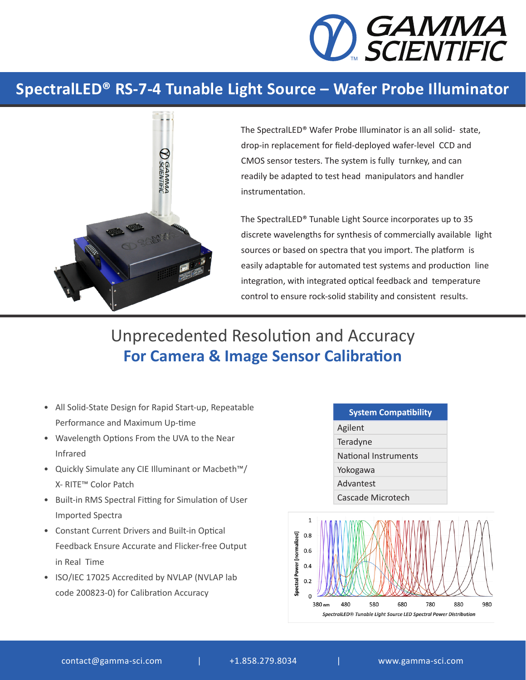

## **SpectralLED® RS-7-4 Tunable Light Source – Wafer Probe Illuminator**



The SpectralLED® Wafer Probe Illuminator is an all solid- state, drop-in replacement for field-deployed wafer-level CCD and CMOS sensor testers. The system is fully turnkey, and can readily be adapted to test head manipulators and handler instrumentation.

The SpectralLED® Tunable Light Source incorporates up to 35 discrete wavelengths for synthesis of commercially available light sources or based on spectra that you import. The platform is easily adaptable for automated test systems and production line integration, with integrated optical feedback and temperature control to ensure rock-solid stability and consistent results.

## Unprecedented Resolution and Accuracy **For Camera & Image Sensor Calibration**

- All Solid-State Design for Rapid Start-up, Repeatable Performance and Maximum Up-time
- Wavelength Options From the UVA to the Near Infrared
- Quickly Simulate any CIE Illuminant or Macbeth™/ X- RITE™ Color Patch
- Built-in RMS Spectral Fitting for Simulation of User Imported Spectra
- Constant Current Drivers and Built-in Optical Feedback Ensure Accurate and Flicker-free Output in Real Time
- ISO/IEC 17025 Accredited by NVLAP (NVLAP lab code 200823-0) for Calibration Accuracy